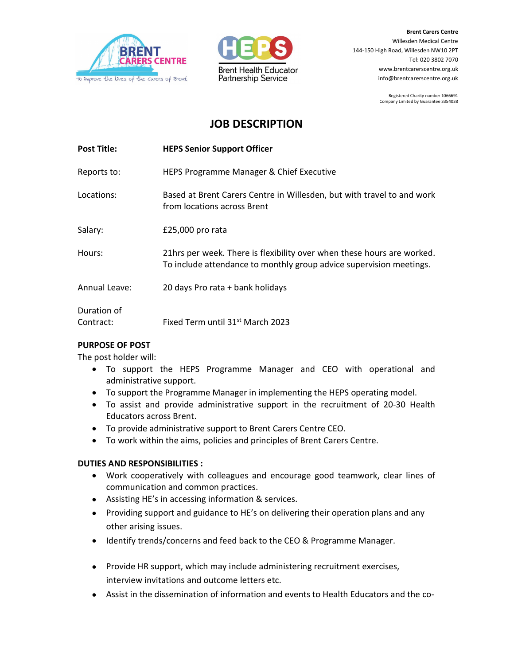



Brent Carers Centre Willesden Medical Centre 144-150 High Road, Willesden NW10 2PT Tel: 020 3802 7070 www.brentcarerscentre.org.uk info@brentcarerscentre.org.uk

> Registered Charity number 1066691 Company Limited by Guarantee 3354038

# JOB DESCRIPTION

| <b>Post Title:</b>       | <b>HEPS Senior Support Officer</b>                                                                                                            |
|--------------------------|-----------------------------------------------------------------------------------------------------------------------------------------------|
| Reports to:              | HEPS Programme Manager & Chief Executive                                                                                                      |
| Locations:               | Based at Brent Carers Centre in Willesden, but with travel to and work<br>from locations across Brent                                         |
| Salary:                  | £25,000 pro rata                                                                                                                              |
| Hours:                   | 21hrs per week. There is flexibility over when these hours are worked.<br>To include attendance to monthly group advice supervision meetings. |
| Annual Leave:            | 20 days Pro rata + bank holidays                                                                                                              |
| Duration of<br>Contract: | Fixed Term until 31 <sup>st</sup> March 2023                                                                                                  |

### PURPOSE OF POST

The post holder will:

- To support the HEPS Programme Manager and CEO with operational and administrative support.
- To support the Programme Manager in implementing the HEPS operating model.
- To assist and provide administrative support in the recruitment of 20-30 Health Educators across Brent.
- To provide administrative support to Brent Carers Centre CEO.
- To work within the aims, policies and principles of Brent Carers Centre.

### DUTIES AND RESPONSIBILITIES :

- Work cooperatively with colleagues and encourage good teamwork, clear lines of communication and common practices.
- Assisting HE's in accessing information & services.
- Providing support and guidance to HE's on delivering their operation plans and any other arising issues.
- Identify trends/concerns and feed back to the CEO & Programme Manager.
- Provide HR support, which may include administering recruitment exercises, interview invitations and outcome letters etc.
- Assist in the dissemination of information and events to Health Educators and the co-